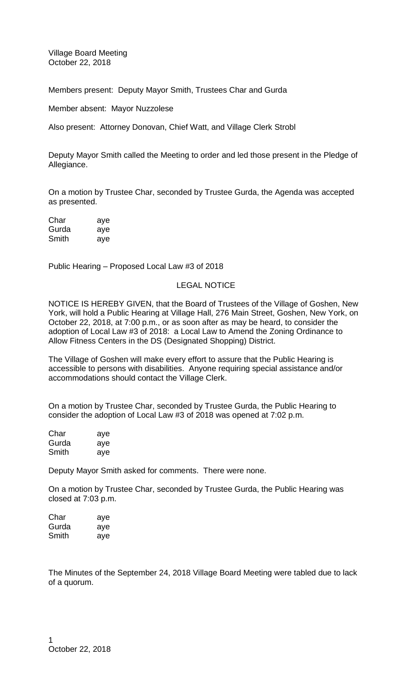Village Board Meeting October 22, 2018

Members present: Deputy Mayor Smith, Trustees Char and Gurda

Member absent: Mayor Nuzzolese

Also present: Attorney Donovan, Chief Watt, and Village Clerk Strobl

Deputy Mayor Smith called the Meeting to order and led those present in the Pledge of Allegiance.

On a motion by Trustee Char, seconded by Trustee Gurda, the Agenda was accepted as presented.

| Char  | aye |
|-------|-----|
| Gurda | aye |
| Smith | aye |

Public Hearing – Proposed Local Law #3 of 2018

# LEGAL NOTICE

NOTICE IS HEREBY GIVEN, that the Board of Trustees of the Village of Goshen, New York, will hold a Public Hearing at Village Hall, 276 Main Street, Goshen, New York, on October 22, 2018, at 7:00 p.m., or as soon after as may be heard, to consider the adoption of Local Law #3 of 2018: a Local Law to Amend the Zoning Ordinance to Allow Fitness Centers in the DS (Designated Shopping) District.

The Village of Goshen will make every effort to assure that the Public Hearing is accessible to persons with disabilities. Anyone requiring special assistance and/or accommodations should contact the Village Clerk.

On a motion by Trustee Char, seconded by Trustee Gurda, the Public Hearing to consider the adoption of Local Law #3 of 2018 was opened at 7:02 p.m.

| Char  | aye |
|-------|-----|
| Gurda | aye |
| Smith | aye |

Deputy Mayor Smith asked for comments. There were none.

On a motion by Trustee Char, seconded by Trustee Gurda, the Public Hearing was closed at 7:03 p.m.

| Char  | aye |
|-------|-----|
| Gurda | aye |
| Smith | aye |

The Minutes of the September 24, 2018 Village Board Meeting were tabled due to lack of a quorum.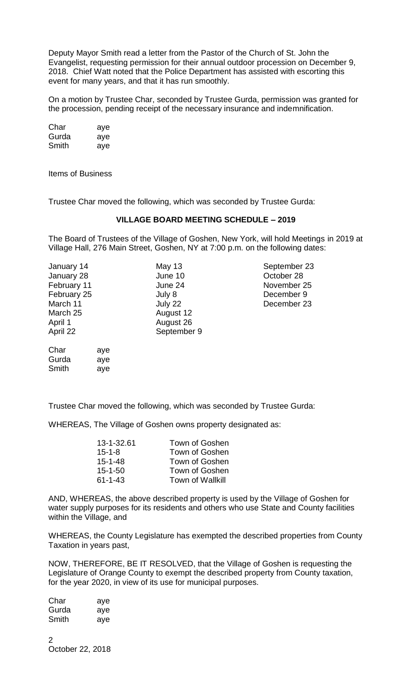Deputy Mayor Smith read a letter from the Pastor of the Church of St. John the Evangelist, requesting permission for their annual outdoor procession on December 9, 2018. Chief Watt noted that the Police Department has assisted with escorting this event for many years, and that it has run smoothly.

On a motion by Trustee Char, seconded by Trustee Gurda, permission was granted for the procession, pending receipt of the necessary insurance and indemnification.

| Char  | aye |
|-------|-----|
| Gurda | aye |
| Smith | aye |

Items of Business

Gurda aye Smith aye

Trustee Char moved the following, which was seconded by Trustee Gurda:

# **VILLAGE BOARD MEETING SCHEDULE – 2019**

The Board of Trustees of the Village of Goshen, New York, will hold Meetings in 2019 at Village Hall, 276 Main Street, Goshen, NY at 7:00 p.m. on the following dates:

| January 14  | May 13      | September 23 |
|-------------|-------------|--------------|
| January 28  | June 10     | October 28   |
| February 11 | June 24     | November 25  |
| February 25 | July 8      | December 9   |
| March 11    | July 22     | December 23  |
| March 25    | August 12   |              |
| April 1     | August 26   |              |
| April 22    | September 9 |              |
| Char<br>ave |             |              |

Trustee Char moved the following, which was seconded by Trustee Gurda:

WHEREAS, The Village of Goshen owns property designated as:

| 13-1-32.61    | Town of Goshen          |
|---------------|-------------------------|
| $15 - 1 - 8$  | Town of Goshen          |
| $15 - 1 - 48$ | Town of Goshen          |
| $15 - 1 - 50$ | Town of Goshen          |
| $61 - 1 - 43$ | <b>Town of Wallkill</b> |

AND, WHEREAS, the above described property is used by the Village of Goshen for water supply purposes for its residents and others who use State and County facilities within the Village, and

WHEREAS, the County Legislature has exempted the described properties from County Taxation in years past,

NOW, THEREFORE, BE IT RESOLVED, that the Village of Goshen is requesting the Legislature of Orange County to exempt the described property from County taxation, for the year 2020, in view of its use for municipal purposes.

| Char  | aye |
|-------|-----|
| Gurda | aye |
| Smith | aye |

 $\mathfrak{D}$ October 22, 2018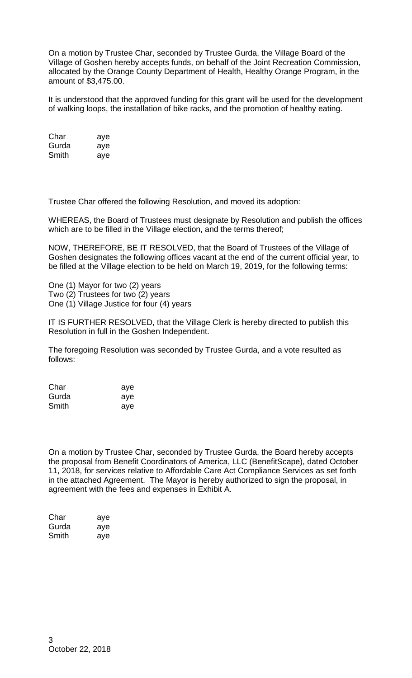On a motion by Trustee Char, seconded by Trustee Gurda, the Village Board of the Village of Goshen hereby accepts funds, on behalf of the Joint Recreation Commission, allocated by the Orange County Department of Health, Healthy Orange Program, in the amount of \$3,475.00.

It is understood that the approved funding for this grant will be used for the development of walking loops, the installation of bike racks, and the promotion of healthy eating.

| Char  | aye |
|-------|-----|
| Gurda | aye |
| Smith | aye |

Trustee Char offered the following Resolution, and moved its adoption:

WHEREAS, the Board of Trustees must designate by Resolution and publish the offices which are to be filled in the Village election, and the terms thereof;

NOW, THEREFORE, BE IT RESOLVED, that the Board of Trustees of the Village of Goshen designates the following offices vacant at the end of the current official year, to be filled at the Village election to be held on March 19, 2019, for the following terms:

One (1) Mayor for two (2) years Two (2) Trustees for two (2) years One (1) Village Justice for four (4) years

IT IS FURTHER RESOLVED, that the Village Clerk is hereby directed to publish this Resolution in full in the Goshen Independent.

The foregoing Resolution was seconded by Trustee Gurda, and a vote resulted as follows:

| Char  | aye |
|-------|-----|
| Gurda | aye |
| Smith | aye |

On a motion by Trustee Char, seconded by Trustee Gurda, the Board hereby accepts the proposal from Benefit Coordinators of America, LLC (BenefitScape), dated October 11, 2018, for services relative to Affordable Care Act Compliance Services as set forth in the attached Agreement. The Mayor is hereby authorized to sign the proposal, in agreement with the fees and expenses in Exhibit A.

| Char  | aye |
|-------|-----|
| Gurda | aye |
| Smith | aye |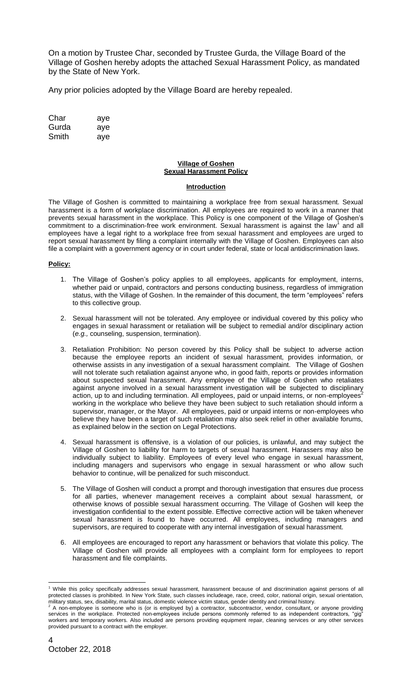On a motion by Trustee Char, seconded by Trustee Gurda, the Village Board of the Village of Goshen hereby adopts the attached Sexual Harassment Policy, as mandated by the State of New York.

Any prior policies adopted by the Village Board are hereby repealed.

| Char  | aye |
|-------|-----|
| Gurda | aye |
| Smith | aye |

### **Village of Goshen Sexual Harassment Policy**

### **Introduction**

The Village of Goshen is committed to maintaining a workplace free from sexual harassment. Sexual harassment is a form of workplace discrimination. All employees are required to work in a manner that prevents sexual harassment in the workplace. This Policy is one component of the Village of Goshen's commitment to a discrimination-free work environment. Sexual harassment is against the law<sup>1</sup> and all employees have a legal right to a workplace free from sexual harassment and employees are urged to report sexual harassment by filing a complaint internally with the Village of Goshen. Employees can also file a complaint with a government agency or in court under federal, state or local antidiscrimination laws.

### **Policy:**

- 1. The Village of Goshen's policy applies to all employees, applicants for employment, interns, whether paid or unpaid, contractors and persons conducting business, regardless of immigration status, with the Village of Goshen. In the remainder of this document, the term "employees" refers to this collective group.
- 2. Sexual harassment will not be tolerated. Any employee or individual covered by this policy who engages in sexual harassment or retaliation will be subject to remedial and/or disciplinary action (*e.g.,* counseling, suspension, termination).
- 3. Retaliation Prohibition: No person covered by this Policy shall be subject to adverse action because the employee reports an incident of sexual harassment, provides information, or otherwise assists in any investigation of a sexual harassment complaint.The Village of Goshen will not tolerate such retaliation against anyone who, in good faith, reports or provides information about suspected sexual harassment. Any employee of the Village of Goshen who retaliates against anyone involved in a sexual harassment investigation will be subjected to disciplinary action, up to and including termination. All employees, paid or unpaid interns, or non-employees working in the workplace who believe they have been subject to such retaliation should inform a supervisor, manager, or the Mayor. All employees, paid or unpaid interns or non-employees who believe they have been a target of such retaliation may also seek relief in other available forums, as explained below in the section on Legal Protections.
- 4. Sexual harassment is offensive, is a violation of our policies, is unlawful, and may subject the Village of Goshen to liability for harm to targets of sexual harassment. Harassers may also be individually subject to liability. Employees of every level who engage in sexual harassment, including managers and supervisors who engage in sexual harassment or who allow such behavior to continue, will be penalized for such misconduct.
- 5. The Village of Goshen will conduct a prompt and thorough investigation that ensures due process for all parties, whenever management receives a complaint about sexual harassment, or otherwise knows of possible sexual harassment occurring. The Village of Goshen will keep the investigation confidential to the extent possible. Effective corrective action will be taken whenever sexual harassment is found to have occurred. All employees, including managers and supervisors, are required to cooperate with any internal investigation of sexual harassment.
- 6. All employees are encouraged to report any harassment or behaviors that violate this policy. The Village of Goshen will provide all employees with a complaint form for employees to report harassment and file complaints.

 $\overline{a}$ 

 $1$  While this policy specifically addresses sexual harassment, harassment because of and discrimination against persons of all protected classes is prohibited. In New York State, such classes includeage, race, creed, color, national origin, sexual orientation, military status, sex, disability, marital status, domestic violence victim status, gender identity and criminal history.

<sup>2</sup> A non-employee is someone who is (or is employed by) a contractor, subcontractor, vendor, consultant, or anyone providing services in the workplace. Protected non-employees include persons commonly referred to as independent contractors, "gig workers and temporary workers. Also included are persons providing equipment repair, cleaning services or any other services provided pursuant to a contract with the employer.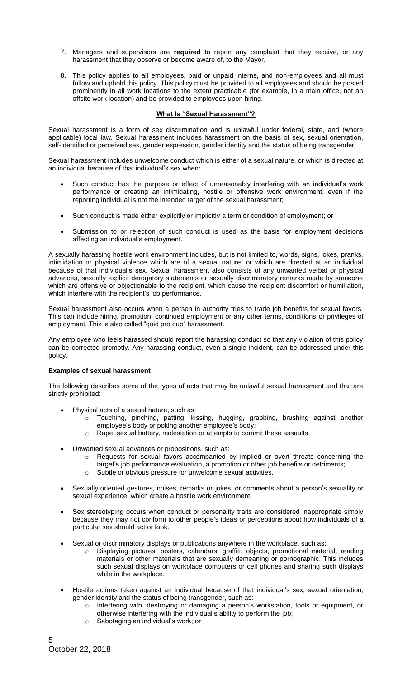- 7. Managers and supervisors are **required** to report any complaint that they receive, or any harassment that they observe or become aware of, to the Mayor.
- 8. This policy applies to all employees, paid or unpaid interns, and non-employees and all must follow and uphold this policy. This policy must be provided to all employees and should be posted prominently in all work locations to the extent practicable (for example, in a main office, not an offsite work location) and be provided to employees upon hiring.

### **What Is "Sexual Harassment"?**

Sexual harassment is a form of sex discrimination and is unlawful under federal, state, and (where applicable) local law. Sexual harassment includes harassment on the basis of sex, sexual orientation, self-identified or perceived sex, gender expression, gender identity and the status of being transgender.

Sexual harassment includes unwelcome conduct which is either of a sexual nature, or which is directed at an individual because of that individual's sex when:

- Such conduct has the purpose or effect of unreasonably interfering with an individual's work performance or creating an intimidating, hostile or offensive work environment, even if the reporting individual is not the intended target of the sexual harassment;
- Such conduct is made either explicitly or implicitly a term or condition of employment; or
- Submission to or rejection of such conduct is used as the basis for employment decisions affecting an individual's employment.

A sexually harassing hostile work environment includes, but is not limited to, words, signs, jokes, pranks, intimidation or physical violence which are of a sexual nature, or which are directed at an individual because of that individual's sex. Sexual harassment also consists of any unwanted verbal or physical advances, sexually explicit derogatory statements or sexually discriminatory remarks made by someone which are offensive or objectionable to the recipient, which cause the recipient discomfort or humiliation, which interfere with the recipient's job performance.

Sexual harassment also occurs when a person in authority tries to trade job benefits for sexual favors. This can include hiring, promotion, continued employment or any other terms, conditions or privileges of employment. This is also called "quid pro quo" harassment.

Any employee who feels harassed should report the harassing conduct so that any violation of this policy can be corrected promptly. Any harassing conduct, even a single incident, can be addressed under this policy.

#### **Examples of sexual harassment**

The following describes some of the types of acts that may be unlawful sexual harassment and that are strictly prohibited:

- Physical acts of a sexual nature, such as:
	- o Touching, pinching, patting, kissing, hugging, grabbing, brushing against another employee's body or poking another employee's body;
		- Rape, sexual battery, molestation or attempts to commit these assaults.
- Unwanted sexual advances or propositions, such as:
	- o Requests for sexual favors accompanied by implied or overt threats concerning the target's job performance evaluation, a promotion or other job benefits or detriments;
	- o Subtle or obvious pressure for unwelcome sexual activities.
- Sexually oriented gestures, noises, remarks or jokes, or comments about a person's sexuality or sexual experience, which create a hostile work environment.
- Sex stereotyping occurs when conduct or personality traits are considered inappropriate simply because they may not conform to other people's ideas or perceptions about how individuals of a particular sex should act or look.
- Sexual or discriminatory displays or publications anywhere in the workplace, such as:
	- Displaying pictures, posters, calendars, graffiti, objects, promotional material, reading materials or other materials that are sexually demeaning or pornographic. This includes such sexual displays on workplace computers or cell phones and sharing such displays while in the workplace.
- Hostile actions taken against an individual because of that individual's sex, sexual orientation, gender identity and the status of being transgender, such as:
	- o Interfering with, destroying or damaging a person's workstation, tools or equipment, or otherwise interfering with the individual's ability to perform the job;
	- Sabotaging an individual's work; or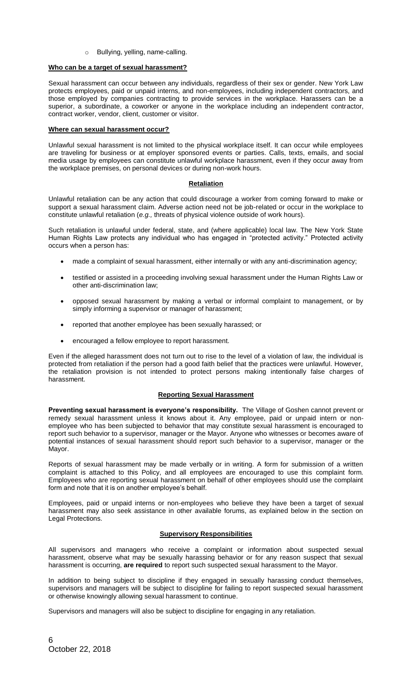### Bullying, yelling, name-calling.

### **Who can be a target of sexual harassment?**

Sexual harassment can occur between any individuals, regardless of their sex or gender. New York Law protects employees, paid or unpaid interns, and non-employees, including independent contractors, and those employed by companies contracting to provide services in the workplace. Harassers can be a superior, a subordinate, a coworker or anyone in the workplace including an independent contractor, contract worker, vendor, client, customer or visitor.

### **Where can sexual harassment occur?**

Unlawful sexual harassment is not limited to the physical workplace itself. It can occur while employees are traveling for business or at employer sponsored events or parties. Calls, texts, emails, and social media usage by employees can constitute unlawful workplace harassment, even if they occur away from the workplace premises, on personal devices or during non-work hours.

### **Retaliation**

Unlawful retaliation can be any action that could discourage a worker from coming forward to make or support a sexual harassment claim. Adverse action need not be job-related or occur in the workplace to constitute unlawful retaliation (*e.g.,* threats of physical violence outside of work hours).

Such retaliation is unlawful under federal, state, and (where applicable) local law. The New York State Human Rights Law protects any individual who has engaged in "protected activity." Protected activity occurs when a person has:

- made a complaint of sexual harassment, either internally or with any anti-discrimination agency;
- testified or assisted in a proceeding involving sexual harassment under the Human Rights Law or other anti-discrimination law;
- opposed sexual harassment by making a verbal or informal complaint to management, or by simply informing a supervisor or manager of harassment;
- reported that another employee has been sexually harassed; or
- encouraged a fellow employee to report harassment.

Even if the alleged harassment does not turn out to rise to the level of a violation of law, the individual is protected from retaliation if the person had a good faith belief that the practices were unlawful. However, the retaliation provision is not intended to protect persons making intentionally false charges of harassment.

### **Reporting Sexual Harassment**

**Preventing sexual harassment is everyone's responsibility.** The Village of Goshen cannot prevent or remedy sexual harassment unless it knows about it. Any employee, paid or unpaid intern or nonemployee who has been subjected to behavior that may constitute sexual harassment is encouraged to report such behavior to a supervisor, manager or the Mayor. Anyone who witnesses or becomes aware of potential instances of sexual harassment should report such behavior to a supervisor, manager or the Mayor.

Reports of sexual harassment may be made verbally or in writing. A form for submission of a written complaint is attached to this Policy, and all employees are encouraged to use this complaint form. Employees who are reporting sexual harassment on behalf of other employees should use the complaint form and note that it is on another employee's behalf.

Employees, paid or unpaid interns or non-employees who believe they have been a target of sexual harassment may also seek assistance in other available forums, as explained below in the section on Legal Protections.

### **Supervisory Responsibilities**

All supervisors and managers who receive a complaint or information about suspected sexual harassment, observe what may be sexually harassing behavior or for any reason suspect that sexual harassment is occurring, **are required** to report such suspected sexual harassment to the Mayor.

In addition to being subject to discipline if they engaged in sexually harassing conduct themselves, supervisors and managers will be subject to discipline for failing to report suspected sexual harassment or otherwise knowingly allowing sexual harassment to continue.

Supervisors and managers will also be subject to discipline for engaging in any retaliation.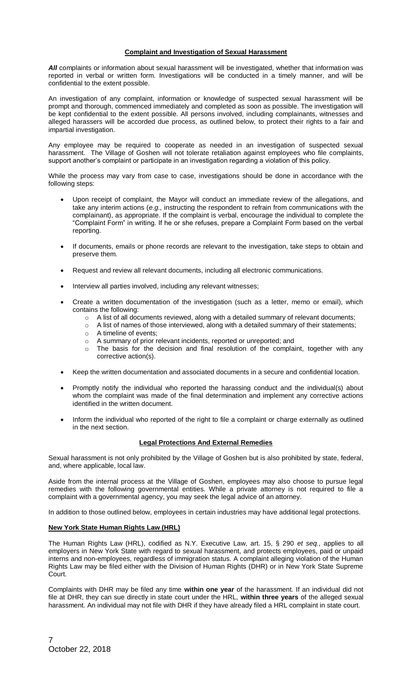### **Complaint and Investigation of Sexual Harassment**

All complaints or information about sexual harassment will be investigated, whether that information was reported in verbal or written form. Investigations will be conducted in a timely manner, and will be confidential to the extent possible.

An investigation of any complaint, information or knowledge of suspected sexual harassment will be prompt and thorough, commenced immediately and completed as soon as possible. The investigation will be kept confidential to the extent possible. All persons involved, including complainants, witnesses and alleged harassers will be accorded due process, as outlined below, to protect their rights to a fair and impartial investigation.

Any employee may be required to cooperate as needed in an investigation of suspected sexual harassment. The Village of Goshen will not tolerate retaliation against employees who file complaints, support another's complaint or participate in an investigation regarding a violation of this policy.

While the process may vary from case to case, investigations should be done in accordance with the following steps:

- Upon receipt of complaint, the Mayor will conduct an immediate review of the allegations, and take any interim actions (*e.g.,* instructing the respondent to refrain from communications with the complainant), as appropriate. If the complaint is verbal, encourage the individual to complete the "Complaint Form" in writing. If he or she refuses, prepare a Complaint Form based on the verbal reporting.
- If documents, emails or phone records are relevant to the investigation, take steps to obtain and preserve them.
- Request and review all relevant documents, including all electronic communications.
- Interview all parties involved, including any relevant witnesses;
- Create a written documentation of the investigation (such as a letter, memo or email), which contains the following:
	- o A list of all documents reviewed, along with a detailed summary of relevant documents;
	- $\circ$  A list of names of those interviewed, along with a detailed summary of their statements;
	- o A timeline of events;
	- o A summary of prior relevant incidents, reported or unreported; and
	- $\circ$  The basis for the decision and final resolution of the complaint, together with any corrective action(s).
- Keep the written documentation and associated documents in a secure and confidential location.
- Promptly notify the individual who reported the harassing conduct and the individual(s) about whom the complaint was made of the final determination and implement any corrective actions identified in the written document.
- Inform the individual who reported of the right to file a complaint or charge externally as outlined in the next section.

### **Legal Protections And External Remedies**

Sexual harassment is not only prohibited by the Village of Goshen but is also prohibited by state, federal, and, where applicable, local law.

Aside from the internal process at the Village of Goshen, employees may also choose to pursue legal remedies with the following governmental entities. While a private attorney is not required to file a complaint with a governmental agency, you may seek the legal advice of an attorney.

In addition to those outlined below, employees in certain industries may have additional legal protections.

### **New York State Human Rights Law (HRL)**

The Human Rights Law (HRL), codified as N.Y. Executive Law, art. 15, § 290 *et seq.*, applies to all employers in New York State with regard to sexual harassment, and protects employees, paid or unpaid interns and non-employees, regardless of immigration status. A complaint alleging violation of the Human Rights Law may be filed either with the Division of Human Rights (DHR) or in New York State Supreme Court.

Complaints with DHR may be filed any time **within one year** of the harassment. If an individual did not file at DHR, they can sue directly in state court under the HRL, **within three years** of the alleged sexual harassment. An individual may not file with DHR if they have already filed a HRL complaint in state court.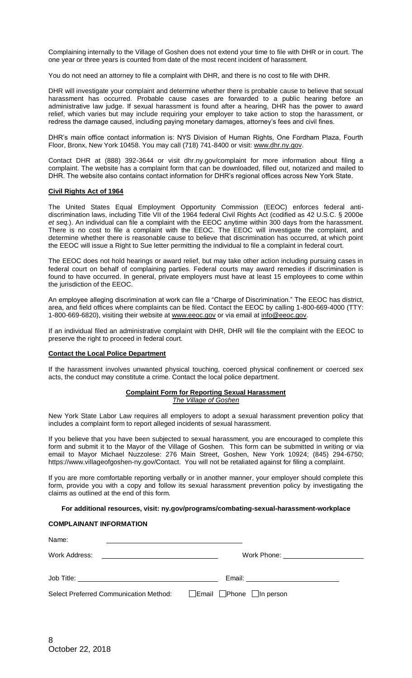Complaining internally to the Village of Goshen does not extend your time to file with DHR or in court. The one year or three years is counted from date of the most recent incident of harassment.

You do not need an attorney to file a complaint with DHR, and there is no cost to file with DHR.

DHR will investigate your complaint and determine whether there is probable cause to believe that sexual harassment has occurred. Probable cause cases are forwarded to a public hearing before an administrative law judge. If sexual harassment is found after a hearing, DHR has the power to award relief, which varies but may include requiring your employer to take action to stop the harassment, or redress the damage caused, including paying monetary damages, attorney's fees and civil fines.

DHR's main office contact information is: NYS Division of Human Rights, One Fordham Plaza, Fourth Floor, Bronx, New York 10458. You may call (718) 741-8400 or visit: www.dhr.ny.gov.

Contact DHR at (888) 392-3644 or visit dhr.ny.gov/complaint for more information about filing a complaint. The website has a complaint form that can be downloaded, filled out, notarized and mailed to DHR. The website also contains contact information for DHR's regional offices across New York State.

### **Civil Rights Act of 1964**

The United States Equal Employment Opportunity Commission (EEOC) enforces federal antidiscrimination laws, including Title VII of the 1964 federal Civil Rights Act (codified as 42 U.S.C. § 2000e *et seq.*). An individual can file a complaint with the EEOC anytime within 300 days from the harassment. There is no cost to file a complaint with the EEOC. The EEOC will investigate the complaint, and determine whether there is reasonable cause to believe that discrimination has occurred, at which point the EEOC will issue a Right to Sue letter permitting the individual to file a complaint in federal court.

The EEOC does not hold hearings or award relief, but may take other action including pursuing cases in federal court on behalf of complaining parties. Federal courts may award remedies if discrimination is found to have occurred. In general, private employers must have at least 15 employees to come within the jurisdiction of the EEOC.

An employee alleging discrimination at work can file a "Charge of Discrimination." The EEOC has district, area, and field offices where complaints can be filed. Contact the EEOC by calling 1-800-669-4000 (TTY: 1-800-669-6820), visiting their website at www.eeoc.gov or via email at info@eeoc.gov.

If an individual filed an administrative complaint with DHR, DHR will file the complaint with the EEOC to preserve the right to proceed in federal court.

#### **Contact the Local Police Department**

If the harassment involves unwanted physical touching, coerced physical confinement or coerced sex acts, the conduct may constitute a crime. Contact the local police department.

#### **Complaint Form for Reporting Sexual Harassment** *The Village of Goshen*

New York State Labor Law requires all employers to adopt a sexual harassment prevention policy that includes a complaint form to report alleged incidents of sexual harassment.

If you believe that you have been subjected to sexual harassment, you are encouraged to complete this form and submit it to the Mayor of the Village of Goshen. This form can be submitted in writing or via email to Mayor Michael Nuzzolese: 276 Main Street, Goshen, New York 10924; (845) 294-6750; https://www.villageofgoshen-ny.gov/Contact. You will not be retaliated against for filing a complaint.

If you are more comfortable reporting verbally or in another manner, your employer should complete this form, provide you with a copy and follow its sexual harassment prevention policy by investigating the claims as outlined at the end of this form.

#### **For additional resources, visit: ny.gov/programs/combating-sexual-harassment-workplace**

### **COMPLAINANT INFORMATION**

| Name:                                                                  |                                             |
|------------------------------------------------------------------------|---------------------------------------------|
| Work Address:<br><u> 1980 - Johann Stein, fransk politik (f. 1980)</u> | Work Phone: <u>________________________</u> |
| Job Title: _________________________________                           |                                             |
| <b>Select Preferred Communication Method:</b>                          | $\Box$ Email $\Box$ Phone $\Box$ In person  |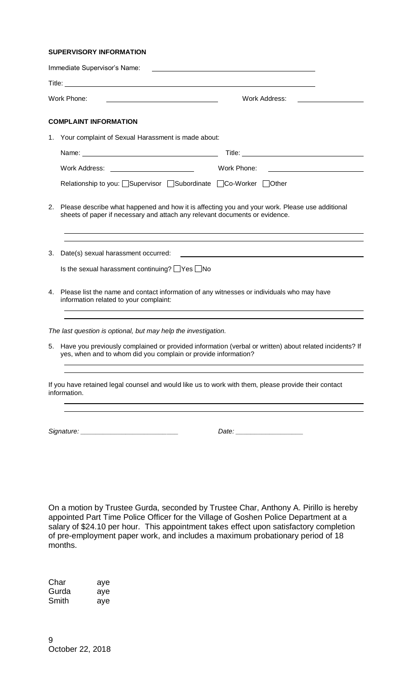### **SUPERVISORY INFORMATION**

|             | Immediate Supervisor's Name:                                                                                                                                                  |                                                                                                                                                                                                                                |  |
|-------------|-------------------------------------------------------------------------------------------------------------------------------------------------------------------------------|--------------------------------------------------------------------------------------------------------------------------------------------------------------------------------------------------------------------------------|--|
|             |                                                                                                                                                                               |                                                                                                                                                                                                                                |  |
| Work Phone: |                                                                                                                                                                               | Work Address:                                                                                                                                                                                                                  |  |
|             | <b>COMPLAINT INFORMATION</b>                                                                                                                                                  |                                                                                                                                                                                                                                |  |
| 1.          | Your complaint of Sexual Harassment is made about:                                                                                                                            |                                                                                                                                                                                                                                |  |
|             |                                                                                                                                                                               | Title: Title: Title: The Commission of the Commission of the Commission of the Commission of the Commission of the Commission of the Commission of the Commission of the Commission of the Commission of the Commission of the |  |
|             | Work Address: ___________________________                                                                                                                                     | Work Phone:                                                                                                                                                                                                                    |  |
|             | Relationship to you: Supervisor Subordinate CCo-Worker Other                                                                                                                  |                                                                                                                                                                                                                                |  |
| 2.          | Please describe what happened and how it is affecting you and your work. Please use additional<br>sheets of paper if necessary and attach any relevant documents or evidence. |                                                                                                                                                                                                                                |  |
| 3.          | Date(s) sexual harassment occurred:<br>Is the sexual harassment continuing? $\Box$ Yes $\Box$ No                                                                              | <u> 1980 - Jan Barat, amerikan bahasa perangan perangan perangan perangan perangan perangan perangan perangan per</u>                                                                                                          |  |
| 4.          | Please list the name and contact information of any witnesses or individuals who may have<br>information related to your complaint:                                           |                                                                                                                                                                                                                                |  |
|             | The last question is optional, but may help the investigation.                                                                                                                |                                                                                                                                                                                                                                |  |
|             | 5. Have you previously complained or provided information (verbal or written) about related incidents? If<br>yes, when and to whom did you complain or provide information?   |                                                                                                                                                                                                                                |  |
|             | If you have retained legal counsel and would like us to work with them, please provide their contact<br>information.                                                          |                                                                                                                                                                                                                                |  |
|             |                                                                                                                                                                               |                                                                                                                                                                                                                                |  |

On a motion by Trustee Gurda, seconded by Trustee Char, Anthony A. Pirillo is hereby appointed Part Time Police Officer for the Village of Goshen Police Department at a salary of \$24.10 per hour. This appointment takes effect upon satisfactory completion of pre-employment paper work, and includes a maximum probationary period of 18 months.

*Signature: \_\_\_\_\_\_\_\_\_\_\_\_\_\_\_\_\_\_\_\_\_\_\_\_\_\_ Date: \_\_\_\_\_\_\_\_\_\_\_\_\_\_\_\_\_\_*

Char aye Gurda aye Smith aye